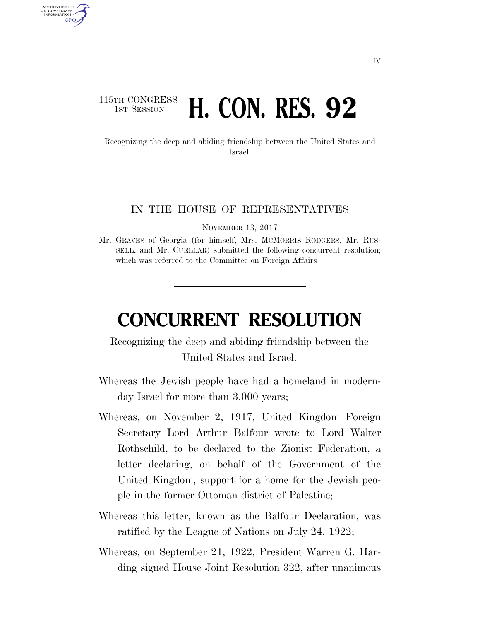## 115TH CONGRESS **1st Session <b>H. CON. RES. 92**

AUTHENTICATED U.S. GOVERNMENT **GPO** 

> Recognizing the deep and abiding friendship between the United States and Israel.

## IN THE HOUSE OF REPRESENTATIVES

NOVEMBER 13, 2017

Mr. GRAVES of Georgia (for himself, Mrs. MCMORRIS RODGERS, Mr. RUS-SELL, and Mr. CUELLAR) submitted the following concurrent resolution; which was referred to the Committee on Foreign Affairs

## **CONCURRENT RESOLUTION**

Recognizing the deep and abiding friendship between the United States and Israel.

- Whereas the Jewish people have had a homeland in modernday Israel for more than 3,000 years;
- Whereas, on November 2, 1917, United Kingdom Foreign Secretary Lord Arthur Balfour wrote to Lord Walter Rothschild, to be declared to the Zionist Federation, a letter declaring, on behalf of the Government of the United Kingdom, support for a home for the Jewish people in the former Ottoman district of Palestine;
- Whereas this letter, known as the Balfour Declaration, was ratified by the League of Nations on July 24, 1922;
- Whereas, on September 21, 1922, President Warren G. Harding signed House Joint Resolution 322, after unanimous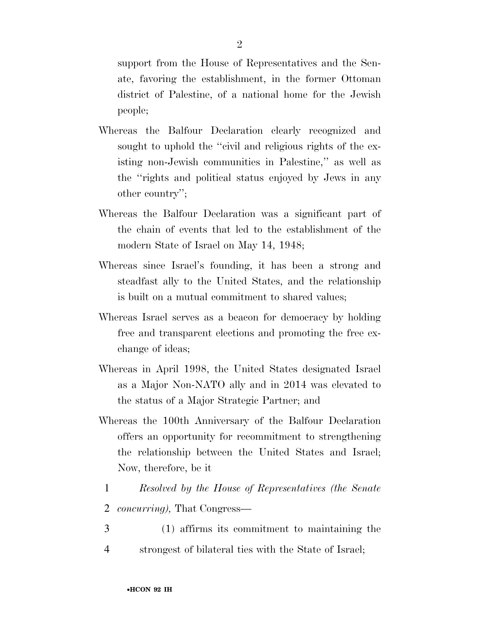support from the House of Representatives and the Senate, favoring the establishment, in the former Ottoman district of Palestine, of a national home for the Jewish people;

- Whereas the Balfour Declaration clearly recognized and sought to uphold the "civil and religious rights of the existing non-Jewish communities in Palestine,'' as well as the ''rights and political status enjoyed by Jews in any other country'';
- Whereas the Balfour Declaration was a significant part of the chain of events that led to the establishment of the modern State of Israel on May 14, 1948;
- Whereas since Israel's founding, it has been a strong and steadfast ally to the United States, and the relationship is built on a mutual commitment to shared values;
- Whereas Israel serves as a beacon for democracy by holding free and transparent elections and promoting the free exchange of ideas;
- Whereas in April 1998, the United States designated Israel as a Major Non-NATO ally and in 2014 was elevated to the status of a Major Strategic Partner; and
- Whereas the 100th Anniversary of the Balfour Declaration offers an opportunity for recommitment to strengthening the relationship between the United States and Israel; Now, therefore, be it
- 1 *Resolved by the House of Representatives (the Senate*
- 2 *concurring),* That Congress—
- 3 (1) affirms its commitment to maintaining the
- 4 strongest of bilateral ties with the State of Israel;